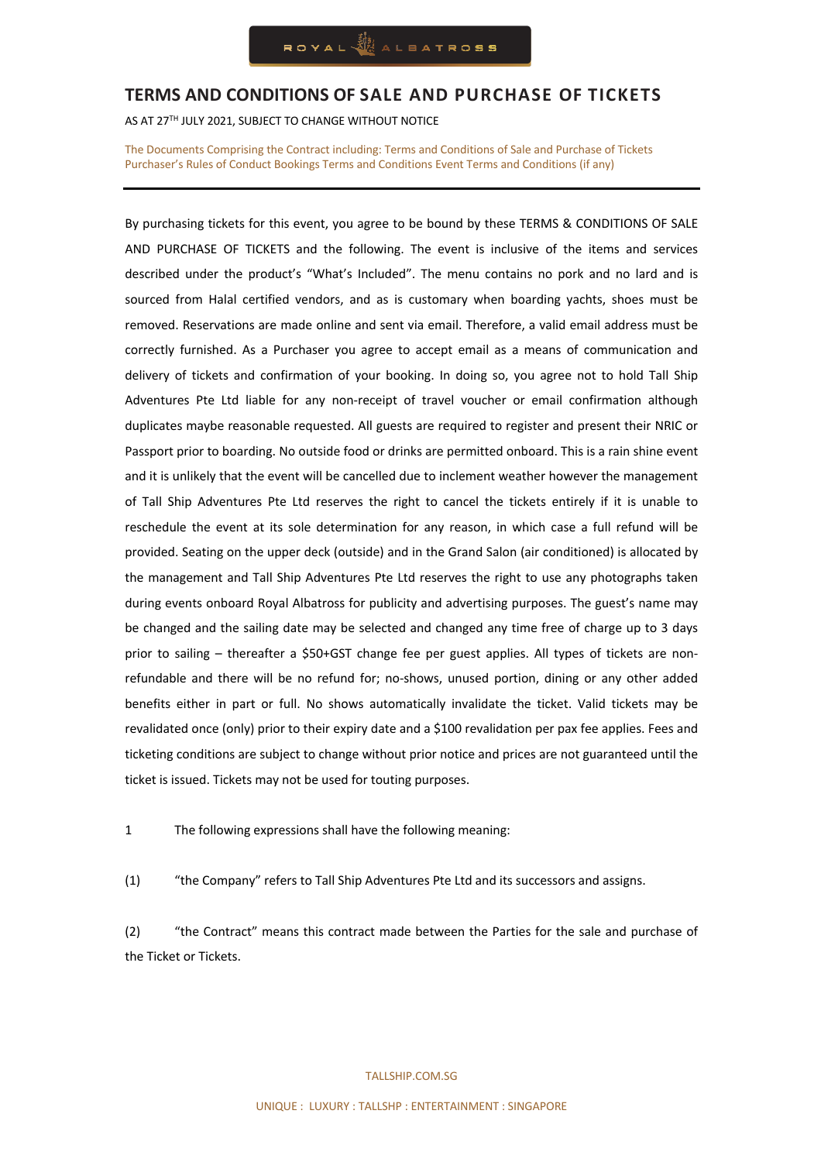### **TERMS AND CONDITIONS OF SALE AND PURCHASE OF TICKETS**

AS AT 27TH JULY 2021, SUBJECT TO CHANGE WITHOUT NOTICE

The Documents Comprising the Contract including: Terms and Conditions of Sale and Purchase of Tickets Purchaser's Rules of Conduct Bookings Terms and Conditions Event Terms and Conditions (if any)

By purchasing tickets for this event, you agree to be bound by these TERMS & CONDITIONS OF SALE AND PURCHASE OF TICKETS and the following. The event is inclusive of the items and services described under the product's "What's Included". The menu contains no pork and no lard and is sourced from Halal certified vendors, and as is customary when boarding yachts, shoes must be removed. Reservations are made online and sent via email. Therefore, a valid email address must be correctly furnished. As a Purchaser you agree to accept email as a means of communication and delivery of tickets and confirmation of your booking. In doing so, you agree not to hold Tall Ship Adventures Pte Ltd liable for any non-receipt of travel voucher or email confirmation although duplicates maybe reasonable requested. All guests are required to register and present their NRIC or Passport prior to boarding. No outside food or drinks are permitted onboard. This is a rain shine event and it is unlikely that the event will be cancelled due to inclement weather however the management of Tall Ship Adventures Pte Ltd reserves the right to cancel the tickets entirely if it is unable to reschedule the event at its sole determination for any reason, in which case a full refund will be provided. Seating on the upper deck (outside) and in the Grand Salon (air conditioned) is allocated by the management and Tall Ship Adventures Pte Ltd reserves the right to use any photographs taken during events onboard Royal Albatross for publicity and advertising purposes. The guest's name may be changed and the sailing date may be selected and changed any time free of charge up to 3 days prior to sailing – thereafter a \$50+GST change fee per guest applies. All types of tickets are nonrefundable and there will be no refund for; no-shows, unused portion, dining or any other added benefits either in part or full. No shows automatically invalidate the ticket. Valid tickets may be revalidated once (only) prior to their expiry date and a \$100 revalidation per pax fee applies. Fees and ticketing conditions are subject to change without prior notice and prices are not guaranteed until the ticket is issued. Tickets may not be used for touting purposes.

1 The following expressions shall have the following meaning:

(1) "the Company" refers to Tall Ship Adventures Pte Ltd and its successors and assigns.

(2) "the Contract" means this contract made between the Parties for the sale and purchase of the Ticket or Tickets.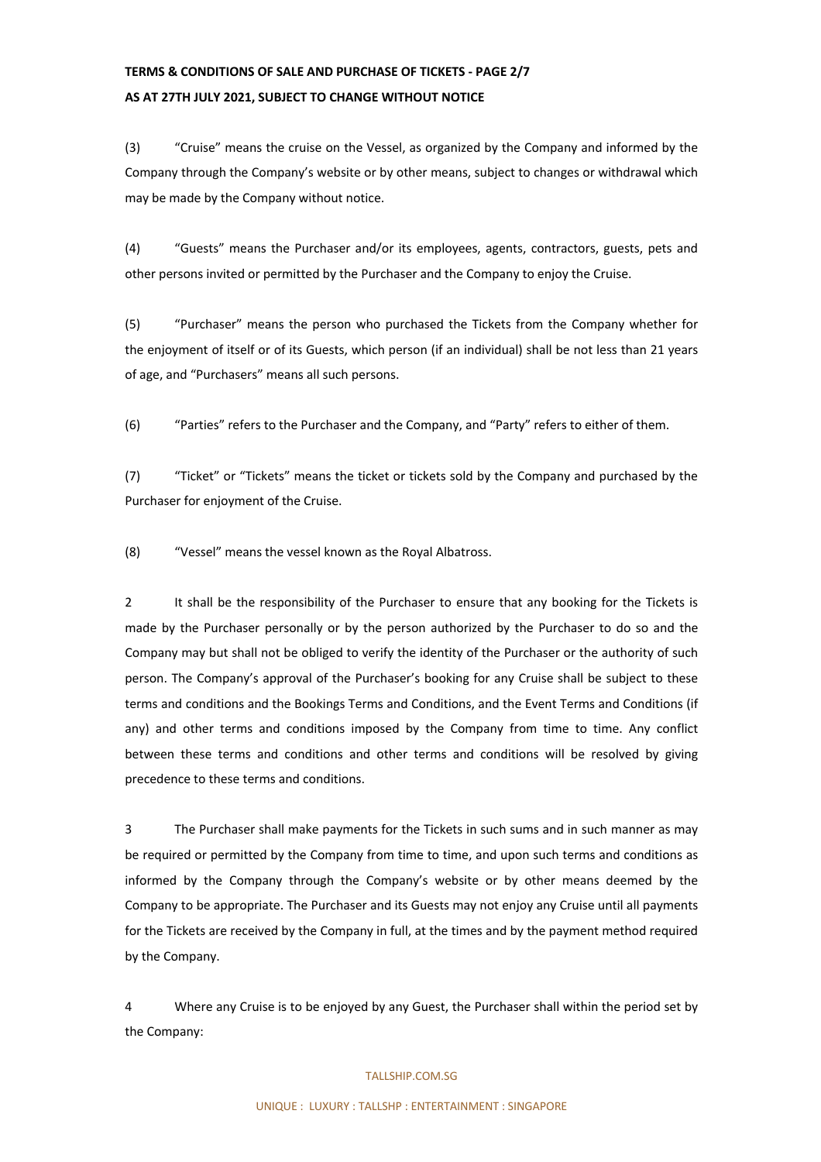# **TERMS & CONDITIONS OF SALE AND PURCHASE OF TICKETS - PAGE 2/7 AS AT 27TH JULY 2021, SUBJECT TO CHANGE WITHOUT NOTICE**

(3) "Cruise" means the cruise on the Vessel, as organized by the Company and informed by the Company through the Company's website or by other means, subject to changes or withdrawal which may be made by the Company without notice.

(4) "Guests" means the Purchaser and/or its employees, agents, contractors, guests, pets and other persons invited or permitted by the Purchaser and the Company to enjoy the Cruise.

(5) "Purchaser" means the person who purchased the Tickets from the Company whether for the enjoyment of itself or of its Guests, which person (if an individual) shall be not less than 21 years of age, and "Purchasers" means all such persons.

(6) "Parties" refers to the Purchaser and the Company, and "Party" refers to either of them.

(7) "Ticket" or "Tickets" means the ticket or tickets sold by the Company and purchased by the Purchaser for enjoyment of the Cruise.

(8) "Vessel" means the vessel known as the Royal Albatross.

2 It shall be the responsibility of the Purchaser to ensure that any booking for the Tickets is made by the Purchaser personally or by the person authorized by the Purchaser to do so and the Company may but shall not be obliged to verify the identity of the Purchaser or the authority of such person. The Company's approval of the Purchaser's booking for any Cruise shall be subject to these terms and conditions and the Bookings Terms and Conditions, and the Event Terms and Conditions (if any) and other terms and conditions imposed by the Company from time to time. Any conflict between these terms and conditions and other terms and conditions will be resolved by giving precedence to these terms and conditions.

3 The Purchaser shall make payments for the Tickets in such sums and in such manner as may be required or permitted by the Company from time to time, and upon such terms and conditions as informed by the Company through the Company's website or by other means deemed by the Company to be appropriate. The Purchaser and its Guests may not enjoy any Cruise until all payments for the Tickets are received by the Company in full, at the times and by the payment method required by the Company.

4 Where any Cruise is to be enjoyed by any Guest, the Purchaser shall within the period set by the Company: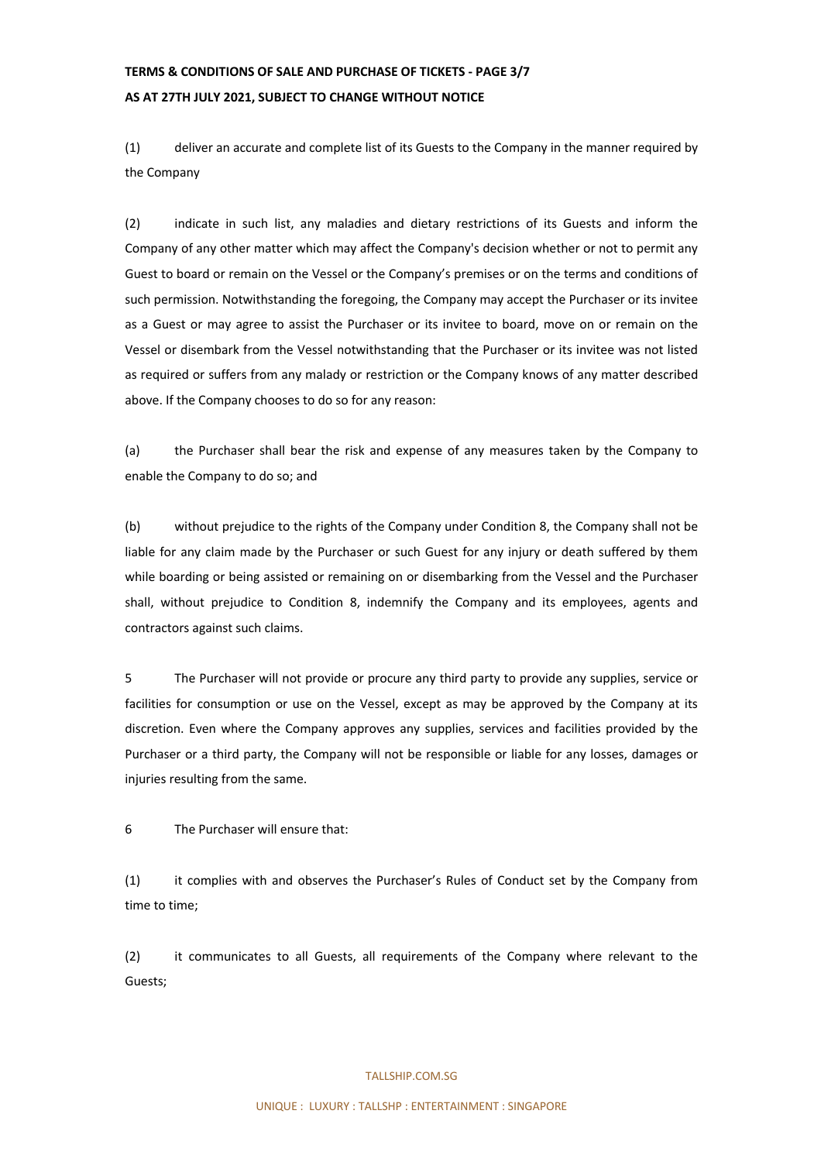## **TERMS & CONDITIONS OF SALE AND PURCHASE OF TICKETS - PAGE 3/7 AS AT 27TH JULY 2021, SUBJECT TO CHANGE WITHOUT NOTICE**

(1) deliver an accurate and complete list of its Guests to the Company in the manner required by the Company

(2) indicate in such list, any maladies and dietary restrictions of its Guests and inform the Company of any other matter which may affect the Company's decision whether or not to permit any Guest to board or remain on the Vessel or the Company's premises or on the terms and conditions of such permission. Notwithstanding the foregoing, the Company may accept the Purchaser or its invitee as a Guest or may agree to assist the Purchaser or its invitee to board, move on or remain on the Vessel or disembark from the Vessel notwithstanding that the Purchaser or its invitee was not listed as required or suffers from any malady or restriction or the Company knows of any matter described above. If the Company chooses to do so for any reason:

(a) the Purchaser shall bear the risk and expense of any measures taken by the Company to enable the Company to do so; and

(b) without prejudice to the rights of the Company under Condition 8, the Company shall not be liable for any claim made by the Purchaser or such Guest for any injury or death suffered by them while boarding or being assisted or remaining on or disembarking from the Vessel and the Purchaser shall, without prejudice to Condition 8, indemnify the Company and its employees, agents and contractors against such claims.

5 The Purchaser will not provide or procure any third party to provide any supplies, service or facilities for consumption or use on the Vessel, except as may be approved by the Company at its discretion. Even where the Company approves any supplies, services and facilities provided by the Purchaser or a third party, the Company will not be responsible or liable for any losses, damages or injuries resulting from the same.

6 The Purchaser will ensure that:

(1) it complies with and observes the Purchaser's Rules of Conduct set by the Company from time to time;

(2) it communicates to all Guests, all requirements of the Company where relevant to the Guests;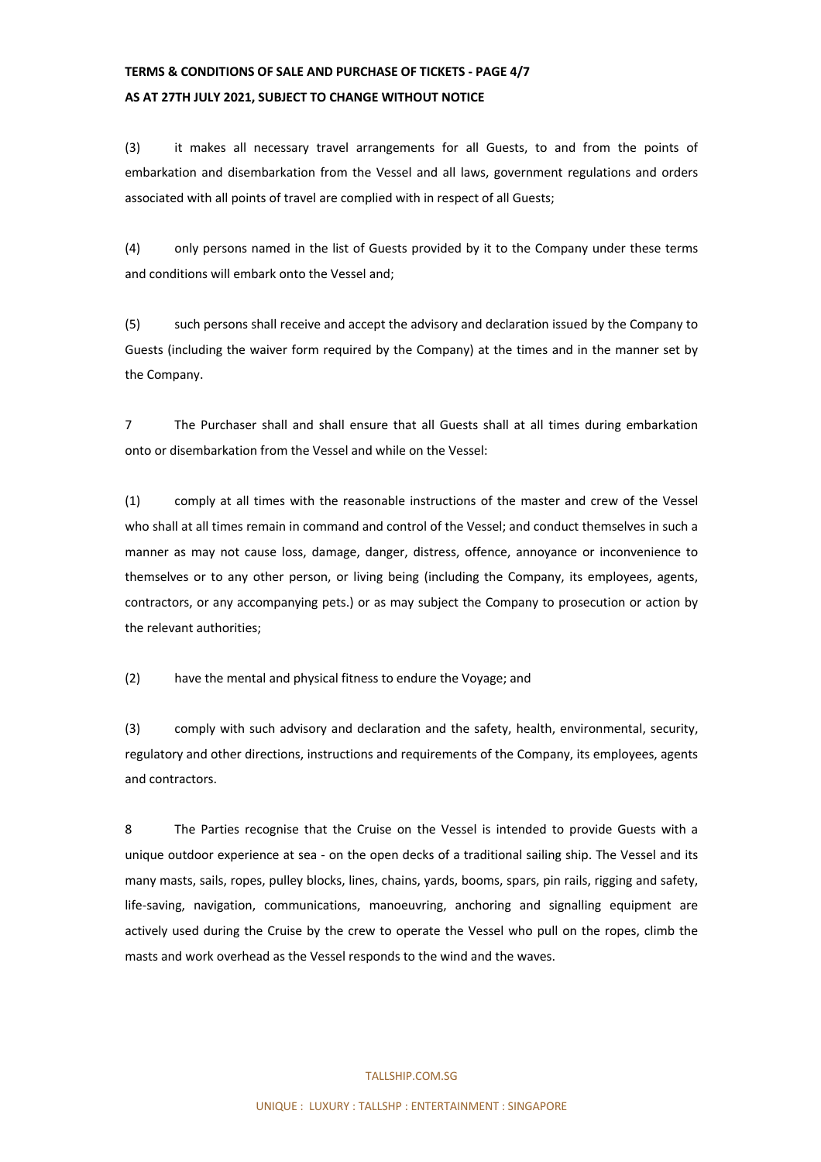# **TERMS & CONDITIONS OF SALE AND PURCHASE OF TICKETS - PAGE 4/7 AS AT 27TH JULY 2021, SUBJECT TO CHANGE WITHOUT NOTICE**

(3) it makes all necessary travel arrangements for all Guests, to and from the points of embarkation and disembarkation from the Vessel and all laws, government regulations and orders associated with all points of travel are complied with in respect of all Guests;

(4) only persons named in the list of Guests provided by it to the Company under these terms and conditions will embark onto the Vessel and;

(5) such persons shall receive and accept the advisory and declaration issued by the Company to Guests (including the waiver form required by the Company) at the times and in the manner set by the Company.

7 The Purchaser shall and shall ensure that all Guests shall at all times during embarkation onto or disembarkation from the Vessel and while on the Vessel:

(1) comply at all times with the reasonable instructions of the master and crew of the Vessel who shall at all times remain in command and control of the Vessel; and conduct themselves in such a manner as may not cause loss, damage, danger, distress, offence, annoyance or inconvenience to themselves or to any other person, or living being (including the Company, its employees, agents, contractors, or any accompanying pets.) or as may subject the Company to prosecution or action by the relevant authorities;

(2) have the mental and physical fitness to endure the Voyage; and

(3) comply with such advisory and declaration and the safety, health, environmental, security, regulatory and other directions, instructions and requirements of the Company, its employees, agents and contractors.

8 The Parties recognise that the Cruise on the Vessel is intended to provide Guests with a unique outdoor experience at sea - on the open decks of a traditional sailing ship. The Vessel and its many masts, sails, ropes, pulley blocks, lines, chains, yards, booms, spars, pin rails, rigging and safety, life-saving, navigation, communications, manoeuvring, anchoring and signalling equipment are actively used during the Cruise by the crew to operate the Vessel who pull on the ropes, climb the masts and work overhead as the Vessel responds to the wind and the waves.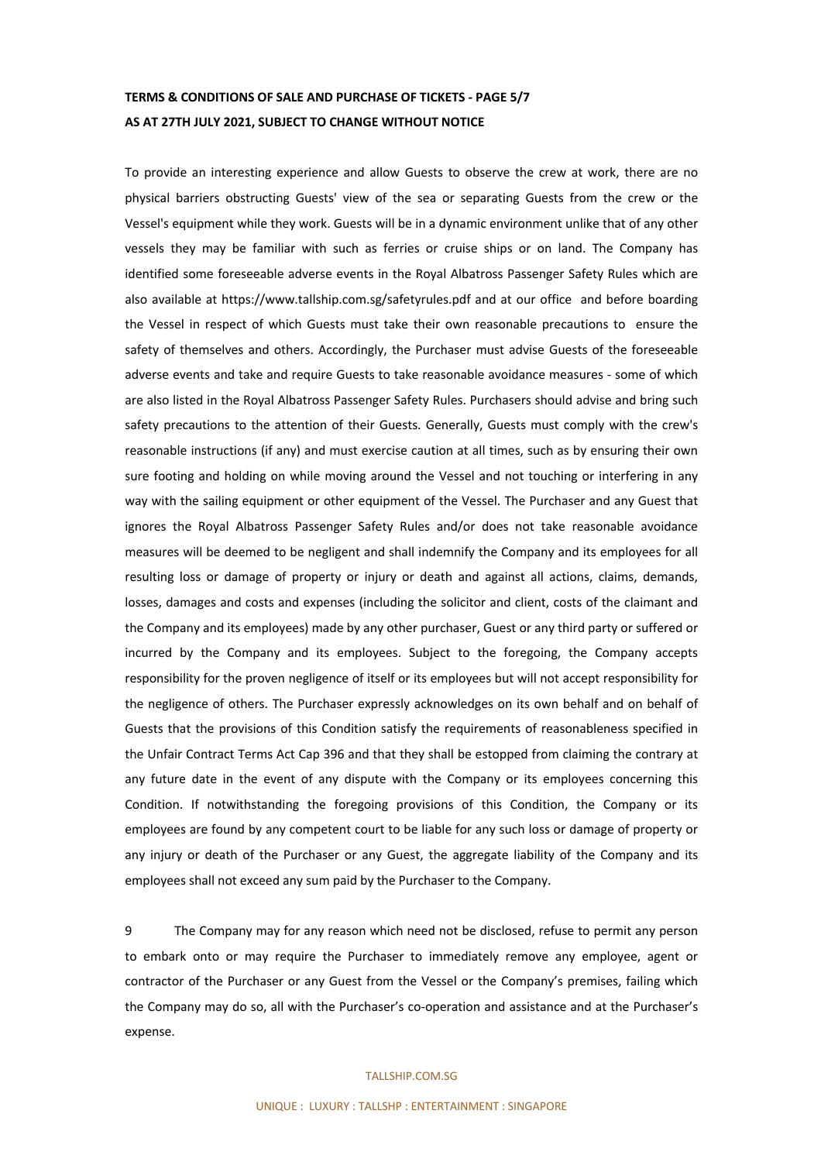# **TERMS & CONDITIONS OF SALE AND PURCHASE OF TICKETS - PAGE 5/7 AS AT 27TH JULY 2021, SUBJECT TO CHANGE WITHOUT NOTICE**

To provide an interesting experience and allow Guests to observe the crew at work, there are no physical barriers obstructing Guests' view of the sea or separating Guests from the crew or the Vessel's equipment while they work. Guests will be in a dynamic environment unlike that of any other vessels they may be familiar with such as ferries or cruise ships or on land. The Company has identified some foreseeable adverse events in the Royal Albatross Passenger Safety Rules which are also available at https://www.tallship.com.sg/safetyrules.pdf and at our office and before boarding the Vessel in respect of which Guests must take their own reasonable precautions to ensure the safety of themselves and others. Accordingly, the Purchaser must advise Guests of the foreseeable adverse events and take and require Guests to take reasonable avoidance measures - some of which are also listed in the Royal Albatross Passenger Safety Rules. Purchasers should advise and bring such safety precautions to the attention of their Guests. Generally, Guests must comply with the crew's reasonable instructions (if any) and must exercise caution at all times, such as by ensuring their own sure footing and holding on while moving around the Vessel and not touching or interfering in any way with the sailing equipment or other equipment of the Vessel. The Purchaser and any Guest that ignores the Royal Albatross Passenger Safety Rules and/or does not take reasonable avoidance measures will be deemed to be negligent and shall indemnify the Company and its employees for all resulting loss or damage of property or injury or death and against all actions, claims, demands, losses, damages and costs and expenses (including the solicitor and client, costs of the claimant and the Company and its employees) made by any other purchaser, Guest or any third party or suffered or incurred by the Company and its employees. Subject to the foregoing, the Company accepts responsibility for the proven negligence of itself or its employees but will not accept responsibility for the negligence of others. The Purchaser expressly acknowledges on its own behalf and on behalf of Guests that the provisions of this Condition satisfy the requirements of reasonableness specified in the Unfair Contract Terms Act Cap 396 and that they shall be estopped from claiming the contrary at any future date in the event of any dispute with the Company or its employees concerning this Condition. If notwithstanding the foregoing provisions of this Condition, the Company or its employees are found by any competent court to be liable for any such loss or damage of property or any injury or death of the Purchaser or any Guest, the aggregate liability of the Company and its employees shall not exceed any sum paid by the Purchaser to the Company.

9 The Company may for any reason which need not be disclosed, refuse to permit any person to embark onto or may require the Purchaser to immediately remove any employee, agent or contractor of the Purchaser or any Guest from the Vessel or the Company's premises, failing which the Company may do so, all with the Purchaser's co-operation and assistance and at the Purchaser's expense.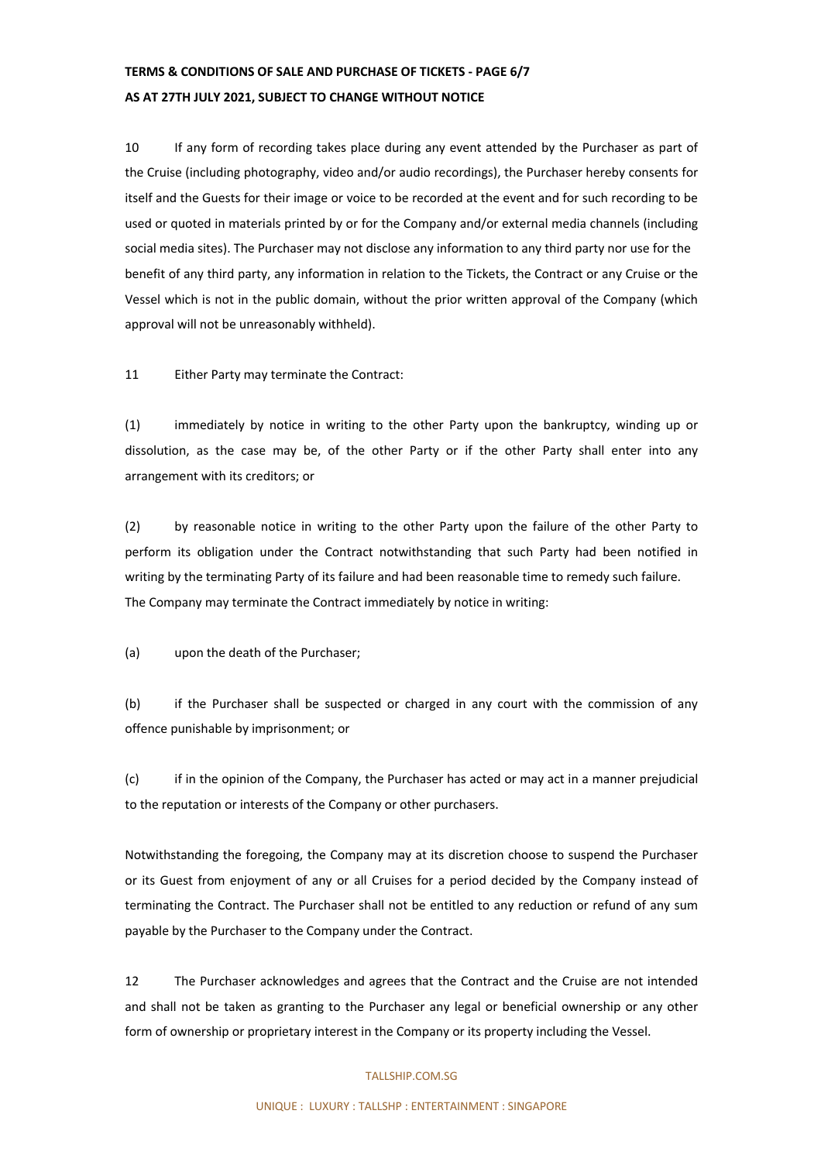## **TERMS & CONDITIONS OF SALE AND PURCHASE OF TICKETS - PAGE 6/7 AS AT 27TH JULY 2021, SUBJECT TO CHANGE WITHOUT NOTICE**

10 If any form of recording takes place during any event attended by the Purchaser as part of the Cruise (including photography, video and/or audio recordings), the Purchaser hereby consents for itself and the Guests for their image or voice to be recorded at the event and for such recording to be used or quoted in materials printed by or for the Company and/or external media channels (including social media sites). The Purchaser may not disclose any information to any third party nor use for the benefit of any third party, any information in relation to the Tickets, the Contract or any Cruise or the Vessel which is not in the public domain, without the prior written approval of the Company (which approval will not be unreasonably withheld).

11 Either Party may terminate the Contract:

(1) immediately by notice in writing to the other Party upon the bankruptcy, winding up or dissolution, as the case may be, of the other Party or if the other Party shall enter into any arrangement with its creditors; or

(2) by reasonable notice in writing to the other Party upon the failure of the other Party to perform its obligation under the Contract notwithstanding that such Party had been notified in writing by the terminating Party of its failure and had been reasonable time to remedy such failure. The Company may terminate the Contract immediately by notice in writing:

(a) upon the death of the Purchaser;

(b) if the Purchaser shall be suspected or charged in any court with the commission of any offence punishable by imprisonment; or

(c) if in the opinion of the Company, the Purchaser has acted or may act in a manner prejudicial to the reputation or interests of the Company or other purchasers.

Notwithstanding the foregoing, the Company may at its discretion choose to suspend the Purchaser or its Guest from enjoyment of any or all Cruises for a period decided by the Company instead of terminating the Contract. The Purchaser shall not be entitled to any reduction or refund of any sum payable by the Purchaser to the Company under the Contract.

12 The Purchaser acknowledges and agrees that the Contract and the Cruise are not intended and shall not be taken as granting to the Purchaser any legal or beneficial ownership or any other form of ownership or proprietary interest in the Company or its property including the Vessel.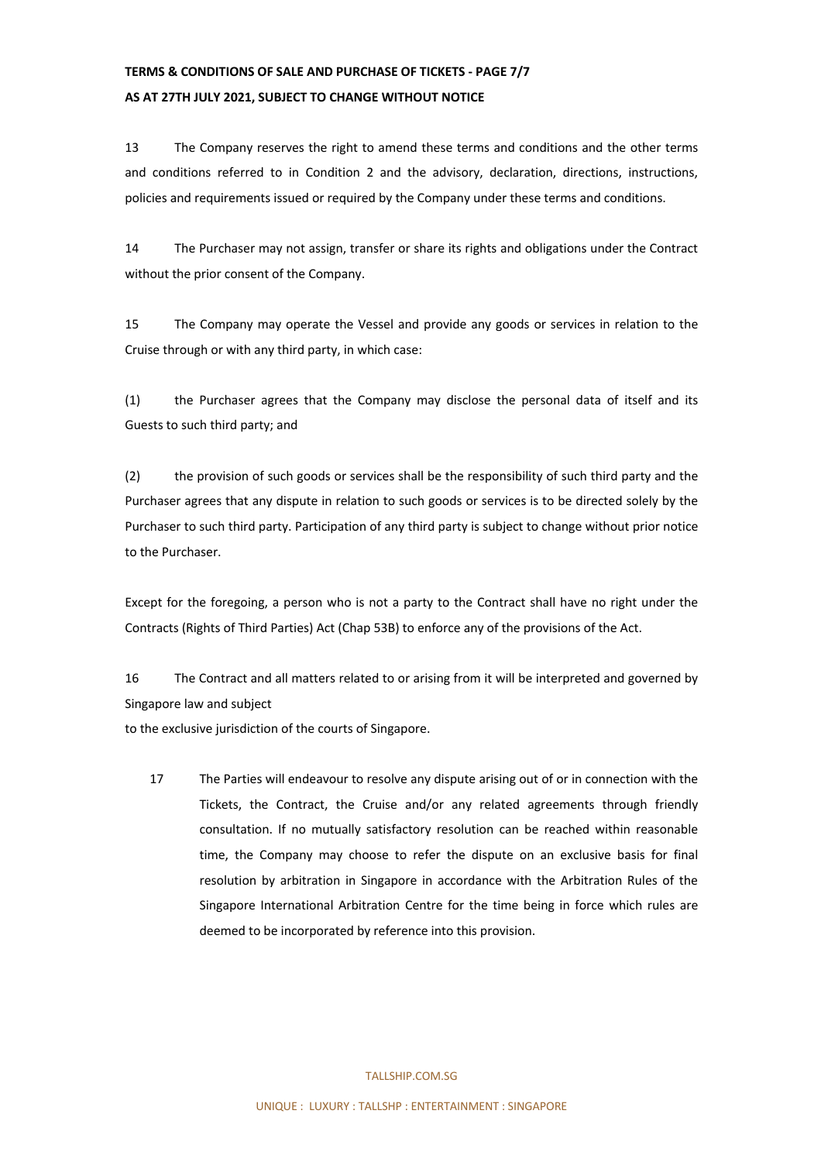# **TERMS & CONDITIONS OF SALE AND PURCHASE OF TICKETS - PAGE 7/7 AS AT 27TH JULY 2021, SUBJECT TO CHANGE WITHOUT NOTICE**

13 The Company reserves the right to amend these terms and conditions and the other terms and conditions referred to in Condition 2 and the advisory, declaration, directions, instructions, policies and requirements issued or required by the Company under these terms and conditions.

14 The Purchaser may not assign, transfer or share its rights and obligations under the Contract without the prior consent of the Company.

15 The Company may operate the Vessel and provide any goods or services in relation to the Cruise through or with any third party, in which case:

(1) the Purchaser agrees that the Company may disclose the personal data of itself and its Guests to such third party; and

(2) the provision of such goods or services shall be the responsibility of such third party and the Purchaser agrees that any dispute in relation to such goods or services is to be directed solely by the Purchaser to such third party. Participation of any third party is subject to change without prior notice to the Purchaser.

Except for the foregoing, a person who is not a party to the Contract shall have no right under the Contracts (Rights of Third Parties) Act (Chap 53B) to enforce any of the provisions of the Act.

16 The Contract and all matters related to or arising from it will be interpreted and governed by Singapore law and subject

to the exclusive jurisdiction of the courts of Singapore.

17 The Parties will endeavour to resolve any dispute arising out of or in connection with the Tickets, the Contract, the Cruise and/or any related agreements through friendly consultation. If no mutually satisfactory resolution can be reached within reasonable time, the Company may choose to refer the dispute on an exclusive basis for final resolution by arbitration in Singapore in accordance with the Arbitration Rules of the Singapore International Arbitration Centre for the time being in force which rules are deemed to be incorporated by reference into this provision.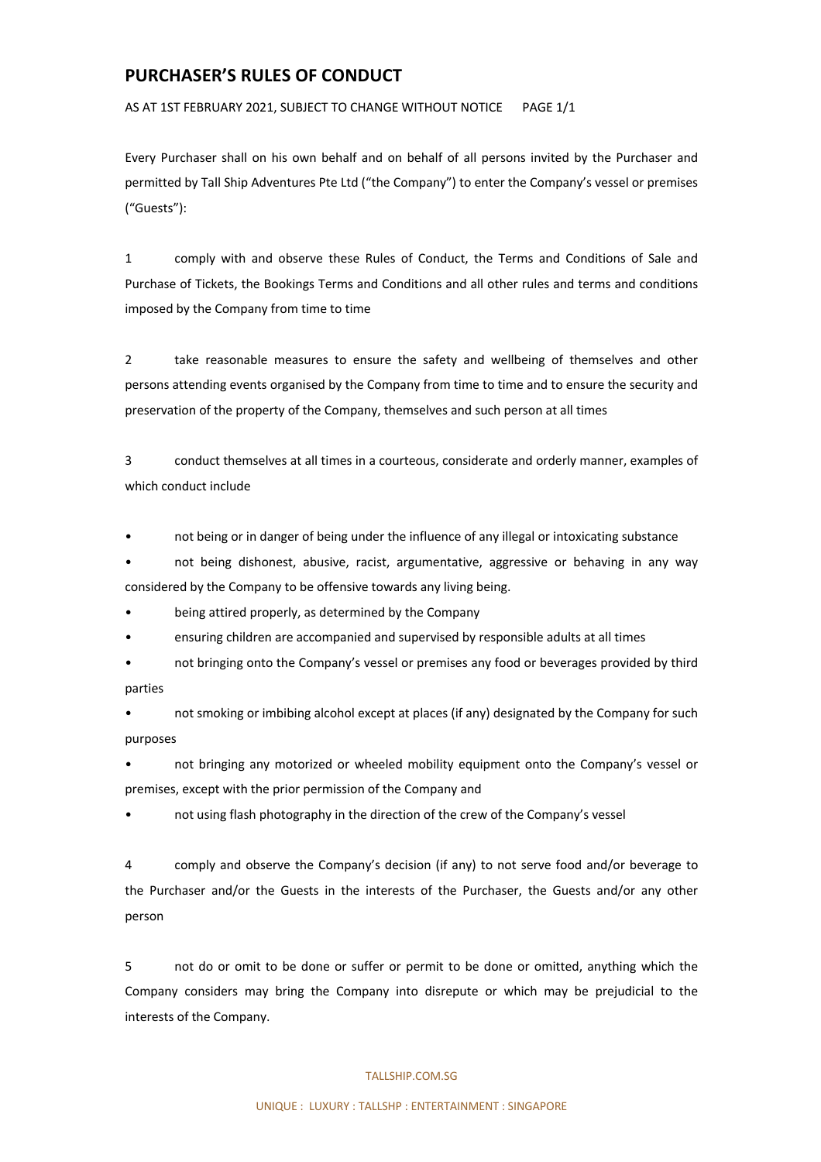### **PURCHASER'S RULES OF CONDUCT**

AS AT 1ST FEBRUARY 2021, SUBJECT TO CHANGE WITHOUT NOTICE PAGE 1/1

Every Purchaser shall on his own behalf and on behalf of all persons invited by the Purchaser and permitted by Tall Ship Adventures Pte Ltd ("the Company") to enter the Company's vessel or premises ("Guests"):

1 comply with and observe these Rules of Conduct, the Terms and Conditions of Sale and Purchase of Tickets, the Bookings Terms and Conditions and all other rules and terms and conditions imposed by the Company from time to time

2 take reasonable measures to ensure the safety and wellbeing of themselves and other persons attending events organised by the Company from time to time and to ensure the security and preservation of the property of the Company, themselves and such person at all times

3 conduct themselves at all times in a courteous, considerate and orderly manner, examples of which conduct include

• not being or in danger of being under the influence of any illegal or intoxicating substance

• not being dishonest, abusive, racist, argumentative, aggressive or behaving in any way considered by the Company to be offensive towards any living being.

• being attired properly, as determined by the Company

• ensuring children are accompanied and supervised by responsible adults at all times

• not bringing onto the Company's vessel or premises any food or beverages provided by third parties

• not smoking or imbibing alcohol except at places (if any) designated by the Company for such purposes

• not bringing any motorized or wheeled mobility equipment onto the Company's vessel or premises, except with the prior permission of the Company and

• not using flash photography in the direction of the crew of the Company's vessel

4 comply and observe the Company's decision (if any) to not serve food and/or beverage to the Purchaser and/or the Guests in the interests of the Purchaser, the Guests and/or any other person

5 not do or omit to be done or suffer or permit to be done or omitted, anything which the Company considers may bring the Company into disrepute or which may be prejudicial to the interests of the Company.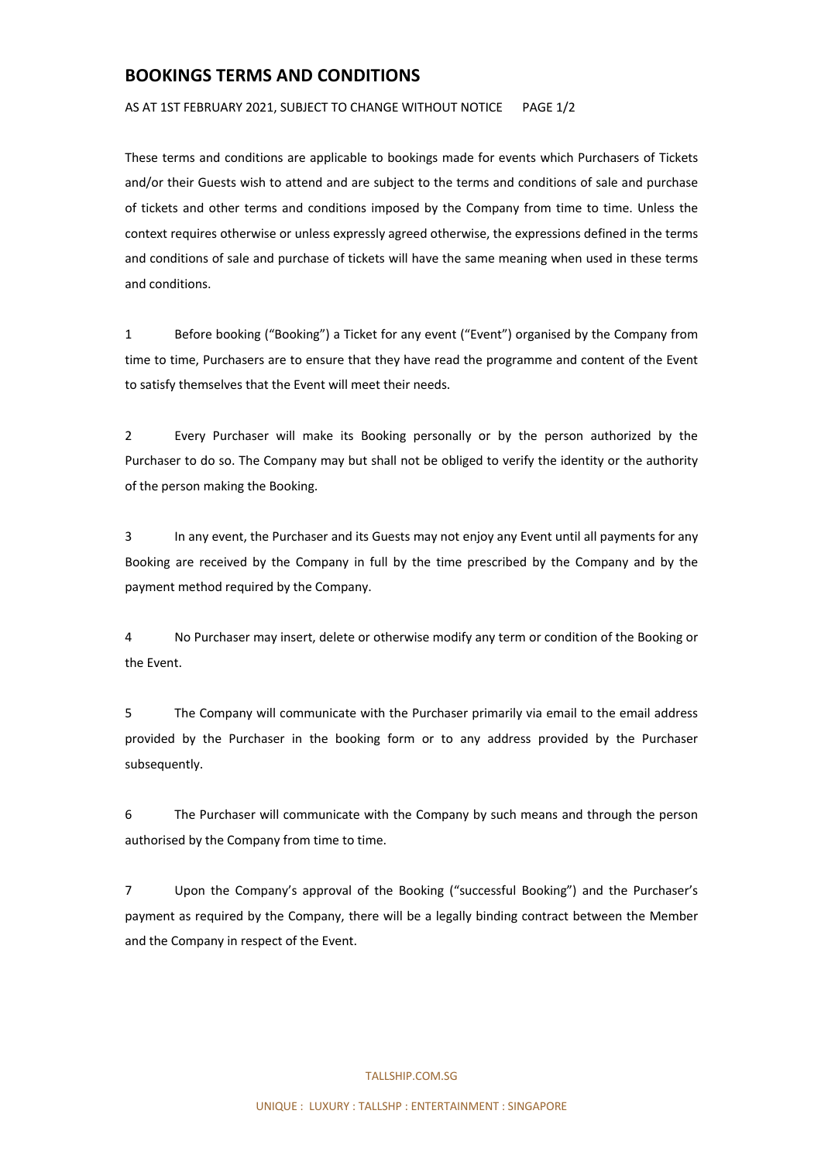### **BOOKINGS TERMS AND CONDITIONS**

AS AT 1ST FEBRUARY 2021, SUBJECT TO CHANGE WITHOUT NOTICE PAGE 1/2

These terms and conditions are applicable to bookings made for events which Purchasers of Tickets and/or their Guests wish to attend and are subject to the terms and conditions of sale and purchase of tickets and other terms and conditions imposed by the Company from time to time. Unless the context requires otherwise or unless expressly agreed otherwise, the expressions defined in the terms and conditions of sale and purchase of tickets will have the same meaning when used in these terms and conditions.

1 Before booking ("Booking") a Ticket for any event ("Event") organised by the Company from time to time, Purchasers are to ensure that they have read the programme and content of the Event to satisfy themselves that the Event will meet their needs.

2 Every Purchaser will make its Booking personally or by the person authorized by the Purchaser to do so. The Company may but shall not be obliged to verify the identity or the authority of the person making the Booking.

3 In any event, the Purchaser and its Guests may not enjoy any Event until all payments for any Booking are received by the Company in full by the time prescribed by the Company and by the payment method required by the Company.

4 No Purchaser may insert, delete or otherwise modify any term or condition of the Booking or the Event.

5 The Company will communicate with the Purchaser primarily via email to the email address provided by the Purchaser in the booking form or to any address provided by the Purchaser subsequently.

6 The Purchaser will communicate with the Company by such means and through the person authorised by the Company from time to time.

7 Upon the Company's approval of the Booking ("successful Booking") and the Purchaser's payment as required by the Company, there will be a legally binding contract between the Member and the Company in respect of the Event.